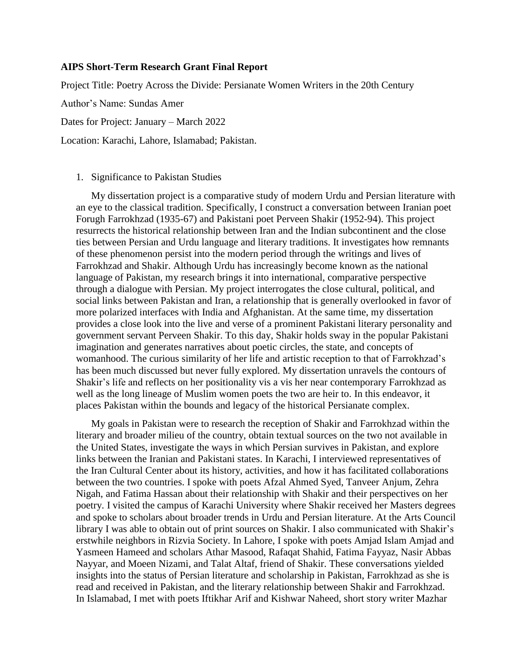## **AIPS Short-Term Research Grant Final Report**

Project Title: Poetry Across the Divide: Persianate Women Writers in the 20th Century

Author's Name: Sundas Amer

Dates for Project: January – March 2022

Location: Karachi, Lahore, Islamabad; Pakistan.

## 1. Significance to Pakistan Studies

My dissertation project is a comparative study of modern Urdu and Persian literature with an eye to the classical tradition. Specifically, I construct a conversation between Iranian poet Forugh Farrokhzad (1935-67) and Pakistani poet Perveen Shakir (1952-94). This project resurrects the historical relationship between Iran and the Indian subcontinent and the close ties between Persian and Urdu language and literary traditions. It investigates how remnants of these phenomenon persist into the modern period through the writings and lives of Farrokhzad and Shakir. Although Urdu has increasingly become known as the national language of Pakistan, my research brings it into international, comparative perspective through a dialogue with Persian. My project interrogates the close cultural, political, and social links between Pakistan and Iran, a relationship that is generally overlooked in favor of more polarized interfaces with India and Afghanistan. At the same time, my dissertation provides a close look into the live and verse of a prominent Pakistani literary personality and government servant Perveen Shakir. To this day, Shakir holds sway in the popular Pakistani imagination and generates narratives about poetic circles, the state, and concepts of womanhood. The curious similarity of her life and artistic reception to that of Farrokhzad's has been much discussed but never fully explored. My dissertation unravels the contours of Shakir's life and reflects on her positionality vis a vis her near contemporary Farrokhzad as well as the long lineage of Muslim women poets the two are heir to. In this endeavor, it places Pakistan within the bounds and legacy of the historical Persianate complex.

My goals in Pakistan were to research the reception of Shakir and Farrokhzad within the literary and broader milieu of the country, obtain textual sources on the two not available in the United States, investigate the ways in which Persian survives in Pakistan, and explore links between the Iranian and Pakistani states. In Karachi, I interviewed representatives of the Iran Cultural Center about its history, activities, and how it has facilitated collaborations between the two countries. I spoke with poets Afzal Ahmed Syed, Tanveer Anjum, Zehra Nigah, and Fatima Hassan about their relationship with Shakir and their perspectives on her poetry. I visited the campus of Karachi University where Shakir received her Masters degrees and spoke to scholars about broader trends in Urdu and Persian literature. At the Arts Council library I was able to obtain out of print sources on Shakir. I also communicated with Shakir's erstwhile neighbors in Rizvia Society. In Lahore, I spoke with poets Amjad Islam Amjad and Yasmeen Hameed and scholars Athar Masood, Rafaqat Shahid, Fatima Fayyaz, Nasir Abbas Nayyar, and Moeen Nizami, and Talat Altaf, friend of Shakir. These conversations yielded insights into the status of Persian literature and scholarship in Pakistan, Farrokhzad as she is read and received in Pakistan, and the literary relationship between Shakir and Farrokhzad. In Islamabad, I met with poets Iftikhar Arif and Kishwar Naheed, short story writer Mazhar